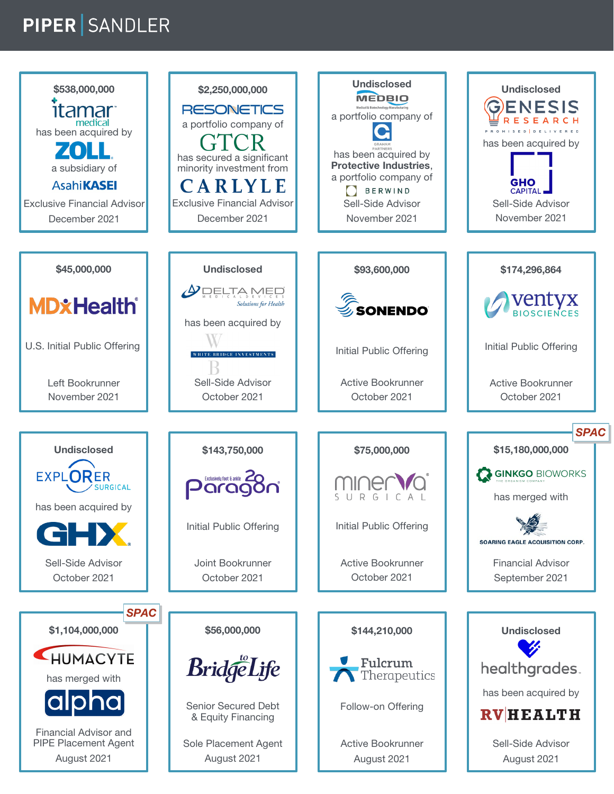## PIPER SANDLER

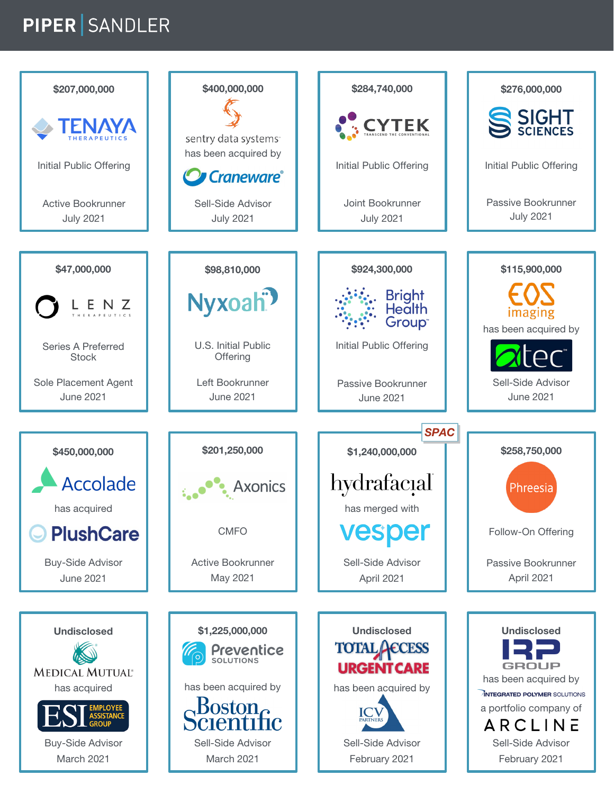## **PIPER SANDLER**